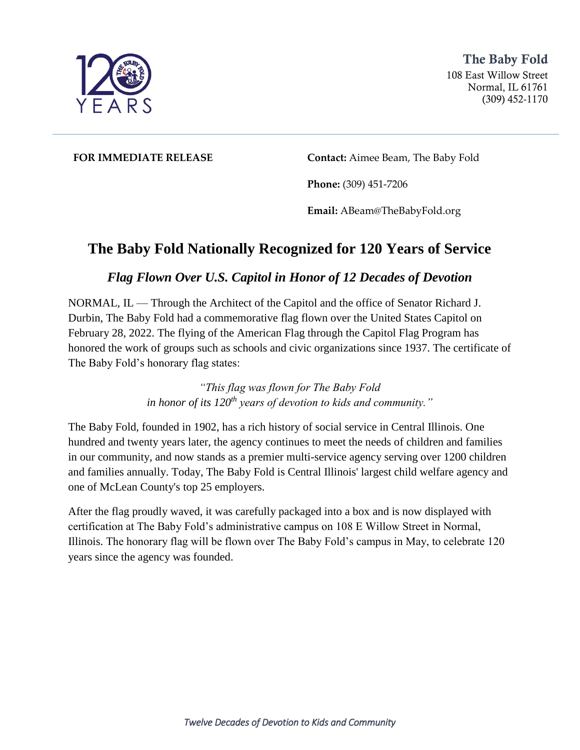

The Baby Fold 108 East Willow Street Normal, IL 61761 (309) 452-1170

**FOR IMMEDIATE RELEASE Contact:** Aimee Beam, The Baby Fold

**Phone:** (309) 451-7206

**Email:** ABeam@TheBabyFold.org

## **The Baby Fold Nationally Recognized for 120 Years of Service**

## *Flag Flown Over U.S. Capitol in Honor of 12 Decades of Devotion*

NORMAL, IL — Through the Architect of the Capitol and the office of Senator Richard J. Durbin, The Baby Fold had a commemorative flag flown over the United States Capitol on February 28, 2022. The flying of the American Flag through the Capitol Flag Program has honored the work of groups such as schools and civic organizations since 1937. The certificate of The Baby Fold's honorary flag states:

> *"This flag was flown for The Baby Fold in honor of its 120th years of devotion to kids and community."*

The Baby Fold, founded in 1902, has a rich history of social service in Central Illinois. One hundred and twenty years later, the agency continues to meet the needs of children and families in our community, and now stands as a premier multi-service agency serving over 1200 children and families annually. Today, The Baby Fold is Central Illinois' largest child welfare agency and one of McLean County's top 25 employers.

After the flag proudly waved, it was carefully packaged into a box and is now displayed with certification at The Baby Fold's administrative campus on 108 E Willow Street in Normal, Illinois. The honorary flag will be flown over The Baby Fold's campus in May, to celebrate 120 years since the agency was founded.